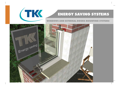

## **ENERGY SAVING SYSTEMS**

### **WINDOWS AND EXTERNAL DOORS MOUNTING SYSTEMS**

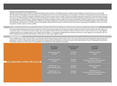#### WINDOWS AND EXTERNAL DOOR INSTALLATION

THE RULES ON EFFICIENT USE OF ENERGY IN BUILDINGS (Official Gazette of the RS No. 93/2008) prescribing a complete sealing of buildings in Slovenia have been in use since 2008. The Rules apply for both designing and the construction of new buildings and for the renovation of the existing ones. They also apply for all the joints, wall openings and final joints between windows, doors and walls. The Rules are intended to additionally reduce the need for energy as well as damage on facilities. Joint tightness represents a weak point in construction physics and is also the cause for unwanted and hardly controlled losses of heat and damage due to dampness. Classic mounting systems including sealing with nothing but polyurethane foam are no longer sufficient as thermal bridges are formed at the joints. With the development of contemporary thermal-insulation windows with minimum air permeability the attention has been drawn to how properly install these windows into the walls. Unfortunately, the Rules on Efficient Use of Energy in Buildings do not contain the exact mounting instructions. Instead, the installation guideline issued by RAL Gutegemeinschaft Fenster und Haustüren e. V. in 2006 can be used. The guideline contains the basis for proper mounting of windows, doors and the corresponding mounting frames, and is as such a practical guide for architects, planners, foremen and fitters.

#### In relation to water permeability and vapour tightness the basic principle of »INSIDE TIGHTER THAN OUTSIDE« should be followed.

The external sealing should represent a barrier for wind and rain and has to be vapour permeable. On the contrary, the interior sealing has to allow the air flow and has to be vapour tight to such an extent that vapour is not formed at the external sealing. Vapour permeability is defined with Sd value, indicating how thick the air layer has to be in order to achieve the same vapour tightness. In sealing tapes this value is indicated, while in foams it depends on their thickness. It is calculated by multiplying the layer thickness by the factor for vapour tightness and corresponds to del 4  $\mu \ge$ 2500 as stipulated by standard DIN 4108. If the layer is 10mm thick, we achieve vapour tightness of 25m.

#### **SEALING SYSTEMS**

There are different ways, tested in practice, of how to professionally seal the final joints between window and door frames. Some new systems have also been developed for special situations and requirements in relation to sealing. Basic suitability of the system has to be planned for each individual case, while newer systems call for special attention in terms of respecting their characteristics. Nevertheless, the decision on which system to choose depends on the individual and on the materials we are sealing.

| WINDOW AND EXITENTAL DOOR MOUNTING | <b>EXTERNAL</b><br><b>SEALING</b><br><b>TEKATRAK WINFLEX</b><br><b>OUTSIDE</b> | <b>INTERMIDIATE</b><br><b>SEALING</b><br><b>TEKAPUR</b><br>PU FOAM | <b>INTERIOR</b><br><b>SEALING</b><br><b>TEKATRAK WINFLEX</b><br><b>INSIDE</b>                       |
|------------------------------------|--------------------------------------------------------------------------------|--------------------------------------------------------------------|-----------------------------------------------------------------------------------------------------|
|                                    | <b>TEKATRAK WINFLEX</b><br><b>OUTSIDE</b>                                      | <b>TEKAPUR</b><br>PU FOAM                                          | TEKAFLEX MS 15 or<br><b>TEKADOM ACRYLIC SEALANT PROFI or</b><br><b>TEKASIL NEUTRAL PROFI</b>        |
|                                    | TEKAFLEX MS 15 or<br><b>TEKASIL NEUTRAL PROFI</b>                              | <b>TEKAPUR</b><br><b>PU FOAM</b>                                   | <b>TEKATRAK WINFLEX</b><br><b>INSIDE</b>                                                            |
|                                    | TEKAFLEX MS 15 or<br><b>TEKASIL NEUTRAL PROFI</b>                              | <b>TEKAPUR</b><br>PU FOAM                                          | <b>TEKAFLEX MS 15 or</b><br><b>TEKADOM ACRYLIC SEALANT PROFI or</b><br><b>TEKASIL NEUTRAL PROFI</b> |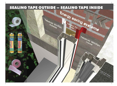### **SEALING TAPE OUTSIDE – SEALING TAPE INSIDE**

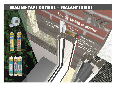### **SEALING TAPE OUTSIDE – SEALANT INSIDE**

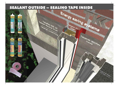### **SEALANT OUTSIDE – SEALING TAPE INSIDE**

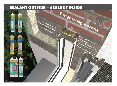### **SEALANT OUTSIDE – SEALANT INSIDE**

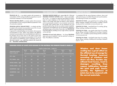### **TKK SEALANTS**

**TEKAFLEX MS 15** – is an elastic sealant with movement accommodation of 25% and good adhesive properties to most of construction materials; it can also be painted.

**TEKASIL NEUTRAL PROFI** is an elastic sealant with movement accommodation of 25% and good adhesive properties to most of construction materials.

**TEKADOM ACRYLIC SEALANT PROFI** – is a plastic and elastic sealant with movement accommodation up to 15%. It is suitable for internal sealing and can be painted.

In general, for external sealing we use sealants with movement accommodation of 25%. When using sealants with different movement accommodation the recommended joint width has to be changed. Due to lesser stress on the inside, for the same width, a sealant with movement accommodation of 15% can be used. Sealants must ALWAYS be used in combination with a nonabsorbent material - e.g. underlining material with closed cell film – **TEKATRAK UNDERLINING**.

### **TKK SEALING TAPES**

**TEKATRAK WINFLEX INSIDE** (red = vapour tight, Sd = 55m) and **TEKATRAK WINFLEX OUTSIDE** (white = vapour permeable,  $Sd = 0.1m$  – is a system for rapid and safe sealing of window joints: for vapour tightness on the inside and vapour permeability on the outside. Both tapes are elastic in every direction and are permanently resistant to any movement accommodation grade. Both sealing tapes can be plastered over and painted; therefore they can be very easily covered completely. A permanent and reliable joint can be achieved by applying a self-adhesive tape on the window frame side or by **TEKAFIKS BT** hand held adhesive, levelling out any rough surfaces, especially on the wall side.

**TEKAFIKS BT hand held adhesive** – for fixing **TEKATRAK** tapes onto porous materials. It can be used also on damp surfaces. The adhesive is odourless.

#### **TEKAPUR PU FOAM**

It completely fills the space between windows, doors and walls and ensures an excellent thermal and sound insulation. The following PU foams are available:

**TEKAPUR PU FOAM** – gun grade foam: for sealing, gluing, filling, insulating, installing and mounting. It enables a precise dosing and thus contributes to more economic use.

**TEKAPUR PU FOAM** – hand-held foam: for sealing, gluing, filling, insulating, installing and mounting.

**TEKAPUR PU FOAM** – gun grade winter foam: for sealing, gluing, filling, insulating, installing and mounting at temperatures to –10°C. It enables a precise dosing and thus contributes to more economic use.

**TEKAPUR PU FOAM** – hand-held winter foam: for sealing, gluing, filling, insulating, installing and mounting at temperatures to –10°C.

#### **REQUIRED WIDTH OF JOINTS WITH REGARD TO THE MATERIAL THE WINDOW FRAME IS MADE OF**

|                                         | Length of window frame<br>Length (m) |              |                                                   |              |                                                   |              |                  |  |  |
|-----------------------------------------|--------------------------------------|--------------|---------------------------------------------------|--------------|---------------------------------------------------|--------------|------------------|--|--|
| Material the window<br>frame is made of | Up to<br>1.5                         | Up to<br>2.5 | Up to<br>3.5                                      | Up to<br>4.5 | Up to<br>2.5                                      | Up to<br>3.5 | Up to<br>4.5     |  |  |
|                                         |                                      |              | The minimum joint width for frontal mounting (mm) |              | The minimum joint width for frontal mounting (mm) |              |                  |  |  |
| PVC - white                             | 10                                   | 15           | 20                                                | 25           | 10                                                | 10           | 15               |  |  |
| PVC, PMMA - dark                        | 15                                   | 20           | 25                                                | 30           | 10                                                | 15           | 20               |  |  |
| WOOD, METAL - light                     | 10                                   | 10           | 15                                                | 20           | 10                                                | 10           | 15 <sup>15</sup> |  |  |
| WOOD, METAL - dark                      | 10                                   | 15           | 20                                                | 25           | 10                                                | 10           | 15 <sup>15</sup> |  |  |
| ALUMINIUM - light                       | 10                                   | 10           | 15                                                | 20           | 10                                                | 10           | 15 <sup>15</sup> |  |  |
| ALUMINIUM - dark                        | 10                                   | 15           | 20                                                | 25           | 10 <sup>°</sup>                                   | 10           | 15 <sub>15</sub> |  |  |
| <b>WOOD</b>                             | 10                                   | 10           | 10                                                | 10           | 10                                                | 10           | 10               |  |  |

**Window and door frame sealing has a great effect on the efficient use of energy for thermal heating. Incorrect mounting of windows and doors can thus, besides significant heat losses, lead to damages resulting from vapour infiltration through the joint and wall. Consequently, the tightness of joints has to be ensured with the correct materials.**